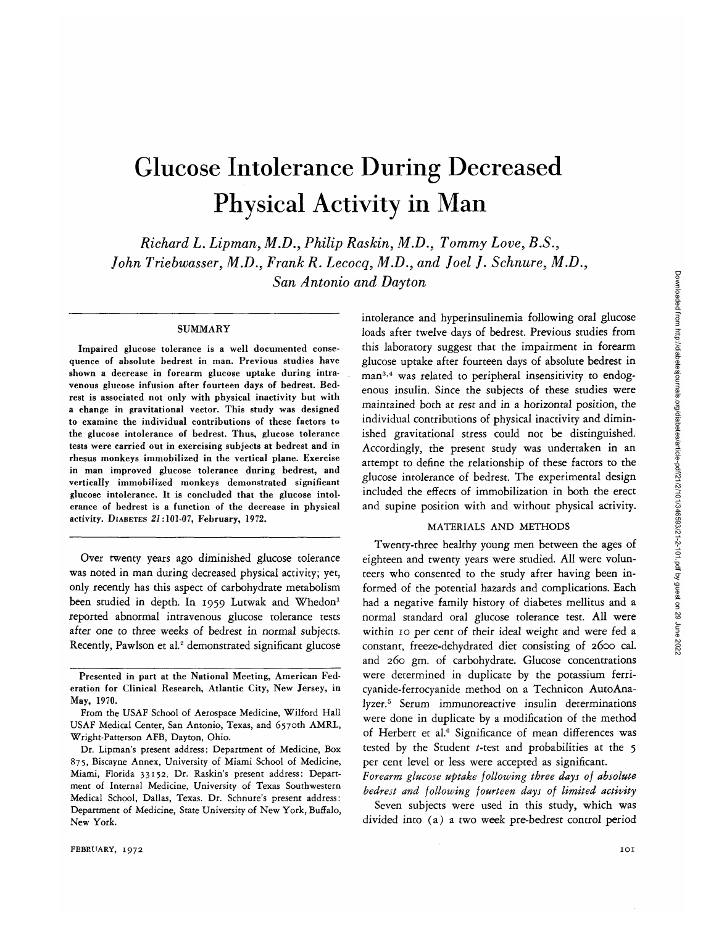# Glucose Intolerance During Decreased Physical Activity in Man

*Richard L. Lipman, M.D., Philip Raskin, M.D., Tommy Love, B.S., John Triebwasser, M.D., Frank R. Lecocq, M.D., and Joel J. Schnure, M.D., San Antonio and Dayton*

## **SUMMARY**

Impaired glucose tolerance is a well documented consequence of absolute bedrest in man. Previous studies have shown a decrease in forearm glucose uptake during intravenous glucose infusion after fourteen days of bedrest. Bedrest is associated not only with physical inactivity but with a change in gravitational vector. This study was designed to examine the individual contributions of these factors to the glucose intolerance of bedrest. Thus, glucose tolerance tests were carried out in exercising subjects at bedrest and in rhesus monkeys immobilized in the vertical plane. Exercise in man improved glucose tolerance during bedrest, and vertically immobilized monkeys demonstrated significant glucose intolerance. It is concluded that the glucose intolerance of bedrest is a function of the decrease in physical activity. DIABETES 21:101-07, February, 1972.

Over twenty years ago diminished glucose tolerance was noted in man during decreased physical activity; yet, only recently has this aspect of carbohydrate metabolism been studied in depth. In 1959 Lutwak and Whedon<sup>1</sup> reported abnormal intravenous glucose tolerance tests after one to three weeks of bedrest in normal subjects. Recently, Pawlson et al.<sup>2</sup> demonstrated significant glucose

loads after twelve days of bedrest. Previous studies from this laboratory suggest that the impairment in forearm glucose uptake after fourteen days of absolute bedrest in man<sup>3,4</sup> was related to peripheral insensitivity to endogenous insulin. Since the subjects of these studies were maintained both at rest and in a horizontal position, the individual contributions of physical inactivity and diminished gravitational stress could not be distinguished. Accordingly, the present study was undertaken in an attempt to define the relationship of these factors to the glucose intolerance of bedrest. The experimental design included the effects of immobilization in both the erect and supine position with and without physical activity.

intolerance and hyperinsulinemia following oral glucose

### MATERIALS AND METHODS

Twenty-three healthy young men between the ages of eighteen and twenty years were studied. All were volunteers who consented to the study after having been informed of the potential hazards and complications. Each had a negative family history of diabetes mellitus and a normal standard oral glucose tolerance test. All were within 10 per cent of their ideal weight and were fed a constant, freeze-dehydrated diet consisting of 2600 cal. and 260 gm. of carbohydrate. Glucose concentrations were determined in duplicate by the potassium ferricyanide-ferrocyanide method on a Technicon AutoAnalyzer.5 Serum immunoreactive insulin determinations were done in duplicate by a modification of the method of Herbert et al.<sup>6</sup> Significance of mean differences was tested by the Student  $t$ -test and probabilities at the  $5$ per cent level or less were accepted as significant.

*Forearm glucose uptake following three days of absolute bedrest and following fourteen days of limited activity*

Seven subjects were used in this study, which was divided into (a) a two week pre-bedrest control period

Presented in part at the National Meeting, American Federation for Clinical Research, Atlantic City, New Jersey, in May, 1970.

From the USAF School of Aerospace Medicine, Wilford Hall USAF Medical Center, San Antonio, Texas, and 6570th AMRL, Wright-Patterson AFB, Dayton, Ohio.

Dr. Lipman's present address: Department of Medicine, Box 875, Biscayne Annex, University of Miami School of Medicine, Miami, Florida 33152. Dr. Raskin's present address: Department of Internal Medicine, University of Texas Southwestern Medical School, Dallas, Texas. Dr. Schnure's present address: Department of Medicine, State University of New York, Buffalo, New York.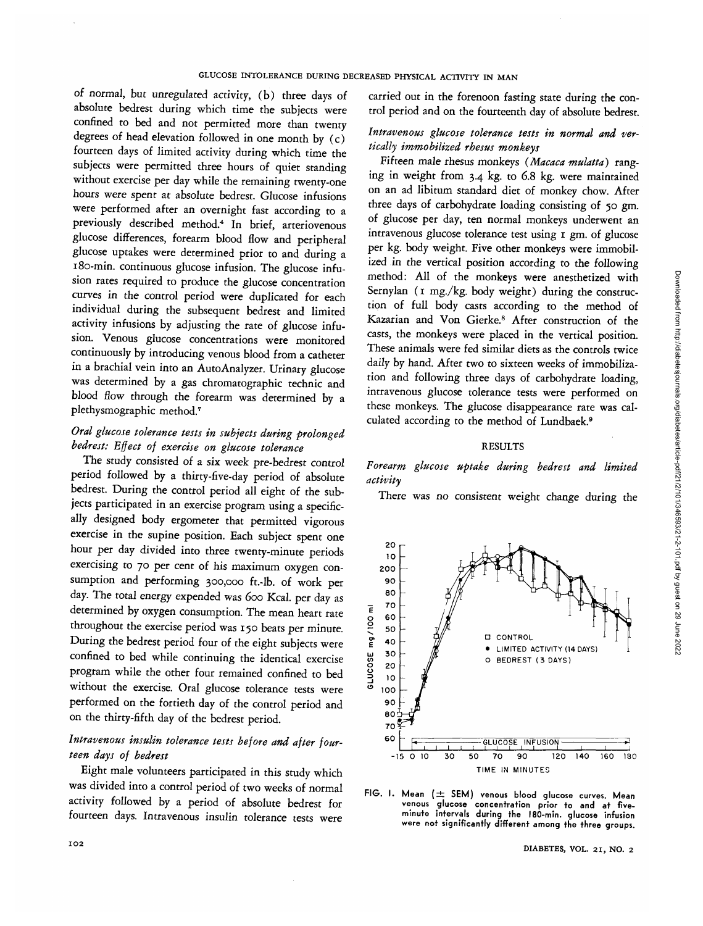of normal, but unregulated activity, (b) three days of absolute bedrest during which time the subjects were confined to bed and not permitted more than twenty degrees of head elevation followed in one month by (c) fourteen days of limited activity during which time the subjects were permitted three hours of quiet standing without exercise per day while the remaining twenty-one hours were spent at absolute bedrest. Glucose infusions were performed after an overnight fast according to a previously described method.4 In brief, arteriovenous glucose differences, forearm blood flow and peripheral glucose uptakes were determined prior to and during a 180-min. continuous glucose infusion. The glucose infusion rates required to produce the glucose concentration curves in the control period were duplicated for each individual during the subsequent bedrest and limited activity infusions by adjusting the rate of glucose infusion. Venous glucose concentrations were monitored continuously by introducing venous blood from a catheter in a brachial vein into an AutoAnalyzer. Urinary glucose was determined by a gas chromatographic technic and blood flow through the forearm was determined by a plethysmographic method.7

# *Oral glucose tolerance tests in subjects during prolonged bedrest: Effect of exercise on glucose tolerance*

The study consisted of a six week pre-bedrest control period followed by a thirty-five-day period of absolute bedrest. During the control period all eight of the subjects participated in an exercise program using a specifically designed body ergometer that permitted vigorous exercise in the supine position. Each subject spent one hour per day divided into three twenty-minute periods exercising to 70 per cent of his maximum oxygen consumption and performing 300,000 ft.-lb. of work per day. The total energy expended was 600 Kcal. per day as determined by oxygen consumption. The mean heart rate throughout the exercise period was 150 beats per minute. During the bedrest period four of the eight subjects were confined to bed while continuing the identical exercise program while the other four remained confined to bed without the exercise. Oral glucose tolerance tests were performed on the fortieth day of the control period and on the thirty-fifth day of the bedrest period.

# *Intravenous insulin tolerance tests before and after fourteen days of bedrest*

Eight male volunteers participated in this study which was divided into a control period of two weeks of normal activity followed by a period of absolute bedrest for fourteen days. Intravenous insulin tolerance tests were carried out in the forenoon fasting state during the control period and on the fourteenth day of absolute bedrest.

# *Intravenous glucose tolerance tests in normal and vertically immobilized rhesus monkeys*

Fifteen male rhesus monkeys *(Macaca mulatta)* ranging in weight from 3.4 kg. to 6.8 kg. were maintained on an ad libitum standard diet of monkey chow. After three days of carbohydrate loading consisting of 50 gm. of glucose per day, ten normal monkeys underwent an intravenous glucose tolerance test using 1 gm. of glucose per kg. body weight. Five other monkeys were immobilized in the vertical position according to the following method: All of the monkeys were anesthetized with Sernylan (1 mg./kg. body weight) during the construction of full body casts according to the method of Kazarian and Von Gierke.<sup>8</sup> After construction of the casts, the monkeys were placed in the vertical position. These animals were fed similar diets as the controls twice daily by hand. After two to sixteen weeks of immobilization and following three days of carbohydrate loading, intravenous glucose tolerance tests were performed on these monkeys. The glucose disappearance rate was calculated according to the method of Lundbaek.<sup>9</sup>

#### RESULTS

*Forearm glucose uptake during bedrest and limited activity*

There was no consistent weight change during the



**FIG. I. Mean ( ± SEM) venous blood glucose curves. Mean venous glucose concentration prior to and at fiveminute intervals during the 180-min. glucose infusion were not significantly different among the three groups.**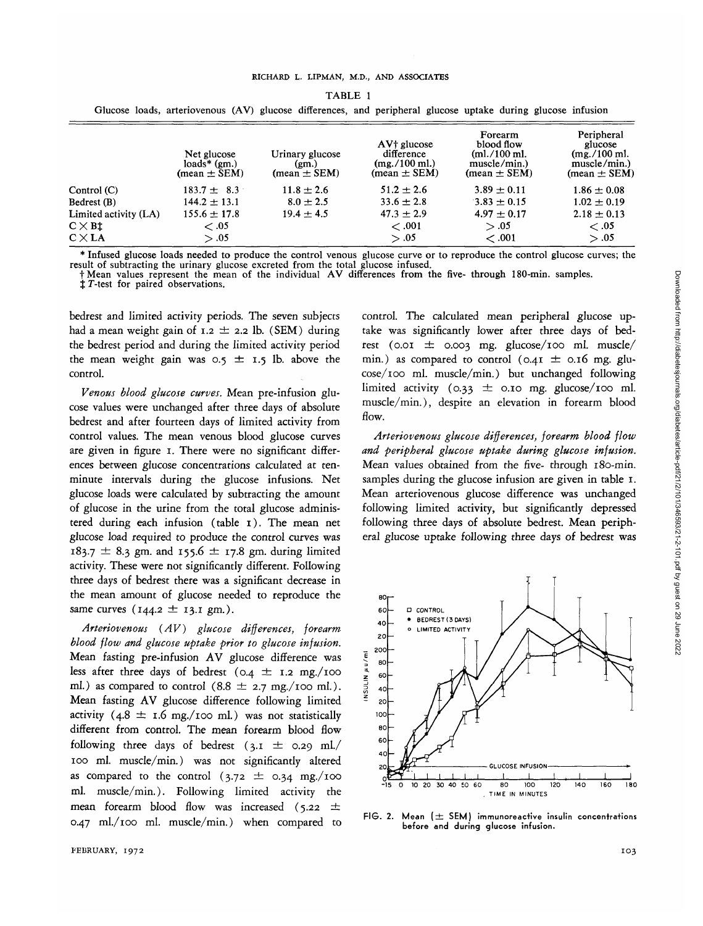#### RICHARD L. LIPMAN, M.D., AND ASSOCIATES

| ARI |  |
|-----|--|
|-----|--|

|                       | Net glucose<br>$loads*(gm.)$<br>(mean $\pm$ SEM) | Urinary glucose<br>(gm.)<br>(mean $\pm$ SEM) | AV <sup>†</sup> glucose<br>difference<br>(mg./100 ml.)<br>(mean $\pm$ SEM) | Forearm<br>blood flow<br>$(m!/100 \text{ m}$ .<br>muscle/min.)<br>$(\text{mean} \pm \text{SEM})$ | Peripheral<br>glucose<br>$(mg. / 100 \text{ m}$ .<br>muscle/min.)<br>$(mean \pm SEM)$ |
|-----------------------|--------------------------------------------------|----------------------------------------------|----------------------------------------------------------------------------|--------------------------------------------------------------------------------------------------|---------------------------------------------------------------------------------------|
| Control (C)           | $183.7 \pm 8.3$                                  | $11.8 \pm 2.6$                               | $51.2 \pm 2.6$                                                             | $3.89 \pm 0.11$                                                                                  | $1.86 \pm 0.08$                                                                       |
| Bedrest (B)           | $144.2 \pm 13.1$                                 | $8.0 \pm 2.5$                                | $33.6 \pm 2.8$                                                             | $3.83 \pm 0.15$                                                                                  | $1.02 \pm 0.19$                                                                       |
| Limited activity (LA) | $155.6 \pm 17.8$                                 | $19.4 \pm 4.5$                               | $47.3 \pm 2.9$                                                             | $4.97 \pm 0.17$                                                                                  | $2.18 \pm 0.13$                                                                       |
| $C \times B1$         | < 0.05                                           |                                              | <.001                                                                      | > .05                                                                                            | < .05                                                                                 |
| $C \times LA$         | > .05                                            |                                              | > .05                                                                      | < .001                                                                                           | > .05                                                                                 |

Glucose loads, arteriovenous (AV) glucose differences, and peripheral glucose uptake during glucose infusion

\* Infused glucose loads needed to produce the control venous glucose curve or to reproduce the control glucose curves; the

 $\dagger$  Mean values represent the mean of the individual AV differences from the five- through 180-min. samples.  $\ddagger$  T-test for paired observations.

bedrest and limited activity periods. The seven subjects had a mean weight gain of 1.2  $\pm$  2.2 lb. (SEM) during the bedrest period and during the limited activity period the mean weight gain was  $0.5 \pm 1.5$  lb. above the control.

*Venous blood glucose curves.* Mean pre-infusion glucose values were unchanged after three days of absolute bedrest and after fourteen days of limited activity from control values. The mean venous blood glucose curves are given in figure 1. There were no significant differences between glucose concentrations calculated at tenminute intervals during the glucose infusions. Net glucose loads were calculated by subtracting the amount of glucose in the urine from the total glucose administered during each infusion (table 1). The mean net glucose load required to produce the control curves was 183.7  $\pm$  8.3 gm. and 155.6  $\pm$  17.8 gm. during limited activity. These were not significantly different. Following three days of bedrest there was a significant decrease in the mean amount of glucose needed to reproduce the same curves  $(144.2 \pm 13.1 \text{ gm.})$ .

*Arteriovenous {AV) glucose differences, forearm blood flow and glucose uptake prior to glucose infusion.* Mean fasting pre-infusion AV glucose difference was less after three days of bedrest (0.4 *±* 1.2 mg./ioo ml.) as compared to control  $(8.8 \pm 2.7 \text{ mg}/\text{100 ml.})$ . Mean fasting AV glucose difference following limited activity (4.8  $\pm$  1.6 mg./100 ml.) was not statistically different from control. The mean forearm blood flow following three days of bedrest (3.1  $\pm$  0.29 ml./ 100 ml. muscle/min.) was not significantly altered as compared to the control  $(3.72 \pm 0.34 \text{ mg./100})$ ml. muscle/min.). Following limited activity the mean forearm blood flow was increased (5.22 *±* 0.47 ml./100 ml. muscle/min.) when compared to control. The calculated mean peripheral glucose uptake was significantly lower after three days of bedrest ( $0.01 \pm 0.003$  mg. glucose/100 ml. muscle/ min.) as compared to control (0.41 *±* 0.16 mg. glucose/100 ml. muscle/min.) but unchanged following limited activity (0.33  $\pm$  0.10 mg. glucose/100 ml. muscle/min.), despite an elevation in forearm blood flow.

*Arteriovenous glucose differences, forearm blood flow and peripheral glucose uptake during glucose infusion.* Mean values obtained from the five- through 180-min. samples during the glucose infusion are given in table 1. Mean arteriovenous glucose difference was unchanged following limited activity, but significantly depressed following three days of absolute bedrest. Mean peripheral glucose uptake following three days of bedrest was



FIG. 2. Mean  $(\pm$  SEM) immunoreactive insulin concentrations before and during glucose infusion.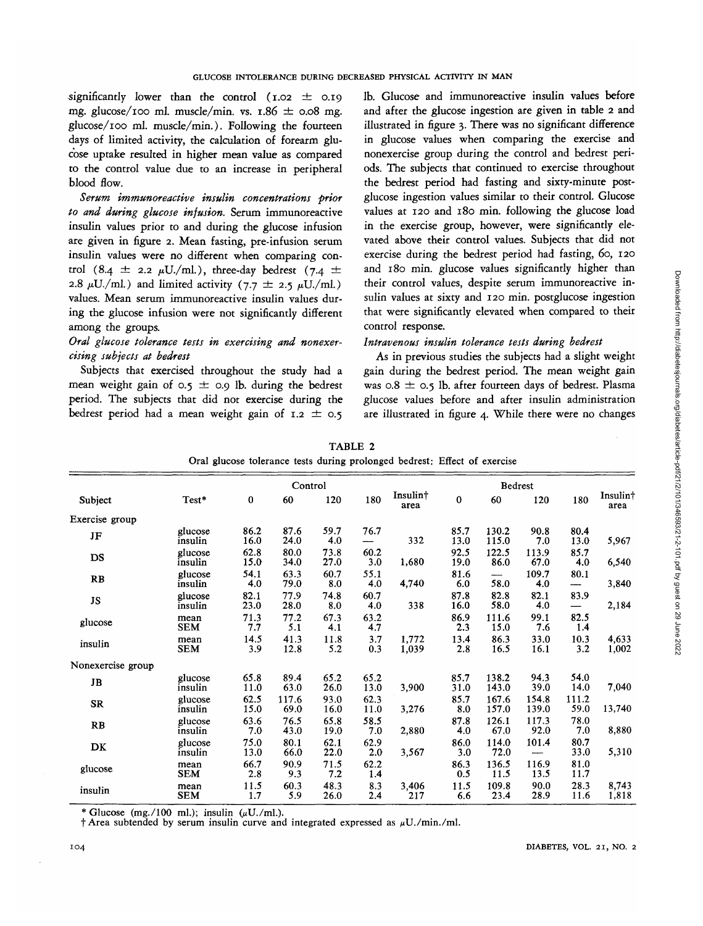significantly lower than the control (1.02 *±* 0.19 mg. glucose/100 ml. muscle/min. vs.  $1.86 \pm 0.08$  mg. glucose/100 ml. muscle/min.). Following the fourteen days of limited activity, the calculation of forearm glucose uptake resulted in higher mean value as compared to the control value due to an increase in peripheral blood flow.

*Serum immunoreactive insulin concentrations prior to and during glucose infusion.* Serum immunoreactive insulin values prior to and during the glucose infusion are given in figure 2. Mean fasting, pre-infusion serum insulin values were no different when comparing control (8.4  $\pm$  2.2  $\mu$ U./ml.), three-day bedrest (7.4  $\pm$ 2.8  $\mu$ U./ml.) and limited activity (7.7  $\pm$  2.5  $\mu$ U./ml.) values. Mean serum immunoreactive insulin values during the glucose infusion were not significantly different among the groups.

# *Oral glucose tolerance tests in exercising and nonexercising subjects at bedrest*

Subjects that exercised throughout the study had a mean weight gain of  $0.5 \pm 0.9$  lb. during the bedrest period. The subjects that did not exercise during the bedrest period had a mean weight gain of 1.2 *±* 0.5

lb. Glucose and immunoreactive insulin values before and after the glucose ingestion are given in table 2 and illustrated in figure 3. There was no significant difference in glucose values when comparing the exercise and nonexercise group during the control and bedrest periods. The subjects that continued to exercise throughout the bedrest period had fasting and sixty-minute postglucose ingestion values similar to their control. Glucose values at 120 and 180 min. following the glucose load in the exercise group, however, were significantly elevated above their control values. Subjects that did not exercise during the bedrest period had fasting, 60, 120 and 180 min. glucose values significantly higher than their control values, despite serum immunoreactive insulin values at sixty and 120 min. postglucose ingestion that were significantly elevated when compared to their control response.

# *Intravenous insulin tolerance tests during bedrest*

As in previous studies the subjects had a slight weight gain during the bedrest period. The mean weight gain was  $0.8 \pm 0.5$  lb. after fourteen days of bedrest. Plasma glucose values before and after insulin administration are illustrated in figure 4. While there were no changes

|                   | Control            |              |               |              | <b>Bedrest</b> |                  |              |                                  |                |               |                  |
|-------------------|--------------------|--------------|---------------|--------------|----------------|------------------|--------------|----------------------------------|----------------|---------------|------------------|
| Subject           | Test*              | 0            | 60            | 120          | 180            | Insulin†<br>area | $\bf{0}$     | 60                               | 120            | 180           | Insulin†<br>area |
| Exercise group    |                    |              |               |              |                |                  |              |                                  |                |               |                  |
| JF                | glucose<br>insulin | 86.2<br>16.0 | 87.6<br>24.0  | 59.7<br>4.0  | 76.7<br>—      | 332              | 85.7<br>13.0 | 130.2<br>115.0                   | 90.8<br>7.0    | 80.4<br>13.0  | 5,967            |
| DS                | glucose<br>insulin | 62.8<br>15.0 | 80.0<br>34.0  | 73.8<br>27.0 | 60.2<br>3.0    | 1,680            | 92.5<br>19.0 | 122.5<br>86.0                    | 113.9<br>67.0  | 85.7<br>4.0   | 6,540            |
| R <sub>B</sub>    | glucose<br>insulin | 54.1<br>4.0  | 63.3<br>79.0  | 60.7<br>8.0  | 55.1<br>4.0    | 4,740            | 81.6<br>6.0  | $\overline{\phantom{0}}$<br>58.0 | 109.7<br>4.0   | 80.1<br>--    | 3,840            |
| JS                | glucose<br>insulin | 82.1<br>23.0 | 77.9<br>28.0  | 74.8<br>8.0  | 60.7<br>4.0    | 338              | 87.8<br>16.0 | 82.8<br>58.0                     | 82.1<br>4.0    | 83.9<br>—     | 2,184            |
| glucose           | mean<br><b>SEM</b> | 71.3<br>7.7  | 77.2<br>$5.1$ | 67.3<br>4.1  | 63.2<br>4.7    |                  | 86.9<br>2.3  | 111.6<br>15.0                    | 99.1<br>7.6    | 82.5<br>1.4   |                  |
| insulin           | mean<br><b>SEM</b> | 14.5<br>3.9  | 41.3<br>12.8  | 11.8<br>5.2  | 3.7<br>0.3     | 1,772<br>1,039   | 13.4<br>2.8  | 86.3<br>16.5                     | 33.0<br>16.1   | 10.3<br>3.2   | 4,633<br>1,002   |
| Nonexercise group |                    |              |               |              |                |                  |              |                                  |                |               |                  |
| JB                | glucose<br>insulin | 65.8<br>11.0 | 89.4<br>63.0  | 65.2<br>26.0 | 65.2<br>13.0   | 3,900            | 85.7<br>31.0 | 138.2<br>143.0                   | 94.3<br>39.0   | 54.0<br>14.0  | 7,040            |
| <b>SR</b>         | glucose<br>insulin | 62.5<br>15.0 | 117.6<br>69.0 | 93.0<br>16.0 | 62.3<br>11.0   | 3,276            | 85.7<br>8.0  | 167.6<br>157.0                   | 154.8<br>139.0 | 111.2<br>59.0 | 13,740           |
| RB                | glucose<br>insulin | 63.6<br>7.0  | 76.5<br>43.0  | 65.8<br>19.0 | 58.5<br>7.0    | 2,880            | 87.8<br>4.0  | 126.1<br>67.0                    | 117.3<br>92.0  | 78.0<br>7.0   | 8,880            |
| DK                | glucose<br>insulin | 75.0<br>13.0 | 80.1<br>66.0  | 62.1<br>22.0 | 62.9<br>2.0    | 3,567            | 86.0<br>3.0  | 114.0<br>72.0                    | 101.4          | 80.7<br>33.0  | 5,310            |
| glucose           | mean<br><b>SEM</b> | 66.7<br>2.8  | 90.9<br>9.3   | 71.5<br>7.2  | 62.2<br>1.4    |                  | 86.3<br>0.5  | 136.5<br>11.5                    | 116.9<br>13.5  | 81.0<br>11.7  |                  |
| insulin           | mean<br><b>SEM</b> | 11.5<br>1.7  | 60.3<br>5.9   | 48.3<br>26.0 | 8.3<br>2.4     | 3,406<br>217     | 11.5<br>6.6  | 109.8<br>23.4                    | 90.0<br>28.9   | 28.3<br>11.6  | 8,743<br>1,818   |

TABLE 2 Oral glucose tolerance tests during prolonged bedrest: Effect of exercise

\* Glucose (mg./100 ml.); insulin  $(\mu U./ml.)$ .

 $\dagger$  Area subtended by serum insulin curve and integrated expressed as  $\mu$ U./min./ml.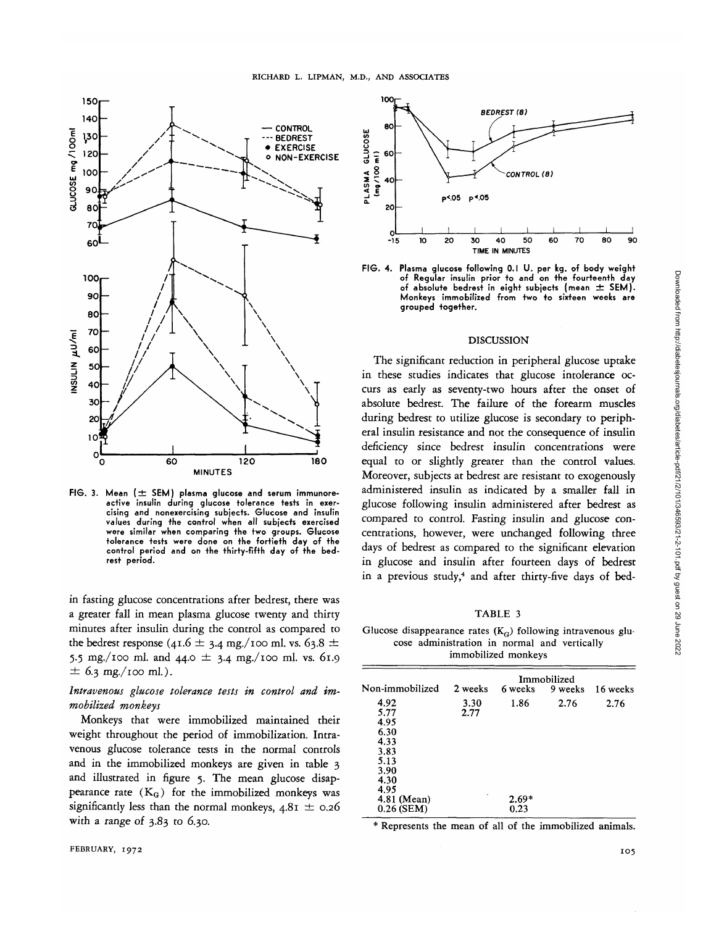

FIG. 3. **Mean ( ± SEM) plasma glucose and serum immunoreactive insulin during glucose tolerance tests in exercising and nonexercising subjects. Glucose and insulin values during the control when all subjects exercised were similar when comparing the two groups. Glucose tolerance tests were done on the fortieth day of the control period and on the thirty-fifth day of the bedrest period.**

in fasting glucose concentrations after bedrest, there was a greater fall in mean plasma glucose twenty and thirty minutes after insulin during the control as compared to the bedrest response (41.6  $\pm$  3.4 mg./100 ml. vs. 63.8  $\pm$ 5.5 mg./100 ml. and 44.0  $\pm$  3.4 mg./100 ml. vs. 61.9  $\pm$  6.3 mg./100 ml.).

## *Intravenous glucose tolerance tests in control and immobilized monkeys*

Monkeys that were immobilized maintained their weight throughout the period of immobilization. Intravenous glucose tolerance tests in the normal controls and in the immobilized monkeys are given in table 3 and illustrated in figure 5. The mean glucose disappearance rate  $(K_G)$  for the immobilized monkeys was significantly less than the normal monkeys, 4.81 *±* 0.26 with a range of 3.83 to 6.30.



**FIG. 4. Plasma glucose following O.I U. per kg. of body weight of Regular insulin prior to and on the fourteenth day of absolute bedrest in eight subjects (mean ± SEM). Monkeys immobilized from two to sixteen weeks are grouped together.**

#### DISCUSSION

The significant reduction in peripheral glucose uptake in these studies indicates that glucose intolerance occurs as early as seventy-two hours after the onset of absolute bedrest. The failure of the forearm muscles during bedrest to utilize glucose is secondary to peripheral insulin resistance and not the consequence of insulin deficiency since bedrest insulin concentrations were equal to or slightly greater than the control values. Moreover, subjects at bedrest are resistant to exogenously administered insulin as indicated by a smaller fall in glucose following insulin administered after bedrest as compared to control. Fasting insulin and glucose concentrations, however, were unchanged following three days of bedrest as compared to the significant elevation in glucose and insulin after fourteen days of bedrest in a previous study,<sup>4</sup> and after thirty-five days of bed-

TABLE 3

Glucose disappearance rates  $(K_G)$  following intravenous glucose administration in normal and vertically immobilized monkeys

|                                                           | Immobilized  |                 |         |          |  |  |  |  |
|-----------------------------------------------------------|--------------|-----------------|---------|----------|--|--|--|--|
| Non-immobilized                                           | 2 weeks      | 6 weeks         | 9 weeks | 16 weeks |  |  |  |  |
| 4.92<br>5.77<br>4.95<br>6.30<br>4.33<br>3.83              | 3.30<br>2.77 | 1.86            | 2.76    | 2.76     |  |  |  |  |
| 5.13<br>3.90<br>4.30<br>4.95<br>4.81 (Mean)<br>0.26 (SEM) |              | $2.69*$<br>0.23 |         |          |  |  |  |  |

Represents the mean of all of the immobilized animals.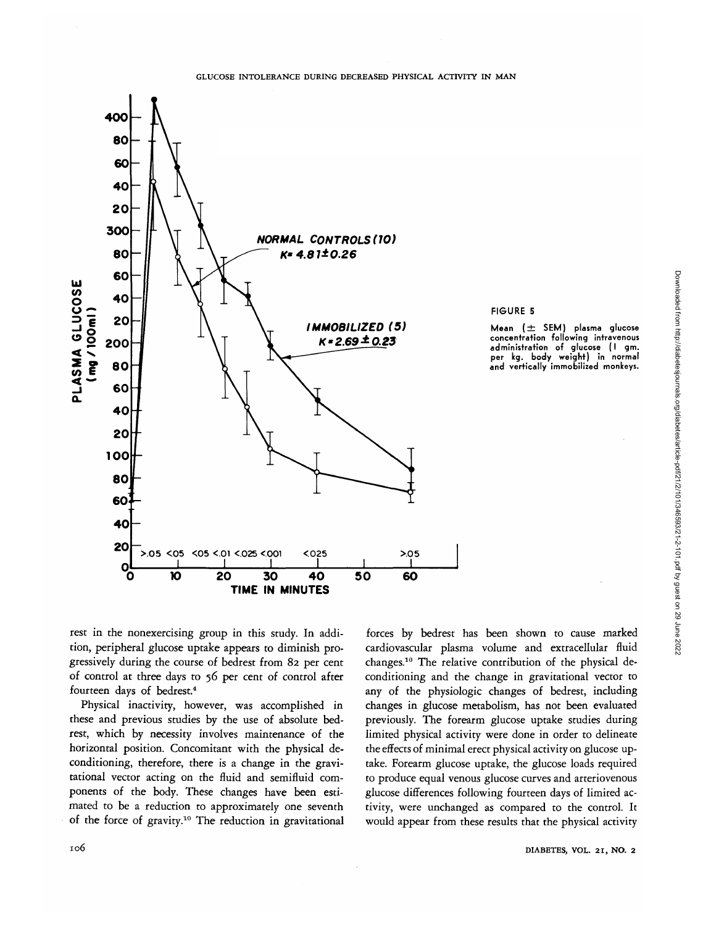



#### FIGURE 5

Mean  $(\pm$  SEM) plasma glucose concentration following intravenous administration of glucose (I gm. per kg. body weight) in normal and vertically immobilized monkeys.

rest in the nonexercising group in this study. In addition, peripheral glucose uptake appears to diminish progressively during the course of bedrest from 82 per cent of control at three days to 56 per cent of control after fourteen days of bedrest.4

Physical inactivity, however, was accomplished in these and previous studies by the use of absolute bedrest, which by necessity involves maintenance of the horizontal position. Concomitant with the physical deconditioning, therefore, there is a change in the gravitational vector acting on the fluid and semifluid components of the body. These changes have been estimated to be a reduction to approximately one seventh of the force of gravity.<sup>10</sup> The reduction in gravitational

forces by bedrest has been shown to cause marked cardiovascular plasma volume and extracellular fluid changes.10 The relative contribution of the physical deconditioning and the change in gravitational vector to any of the physiologic changes of bedrest, including changes in glucose metabolism, has not been evaluated previously. The forearm glucose uptake studies during limited physical activity were done in order to delineate the effects of minimal erect physical activity on glucose uptake. Forearm glucose uptake, the glucose loads required to produce equal venous glucose curves and arteriovenous glucose differences following fourteen days of limited activity, were unchanged as compared to the control. It would appear from these results that the physical activity